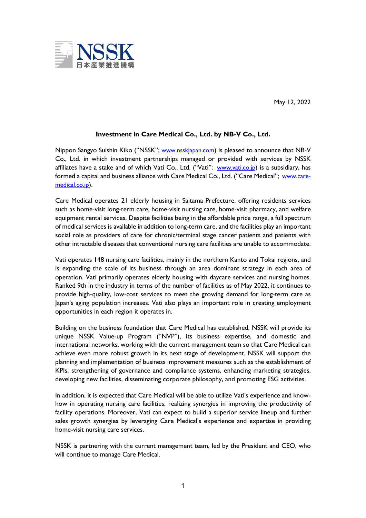May 12, 2022



## Investment in Care Medical Co., Ltd. by NB-V Co., Ltd.

Nippon Sangyo Suishin Kiko ("NSSK"; www.nsskjapan.com) is pleased to announce that NB-V Co., Ltd. in which investment partnerships managed or provided with services by NSSK affiliates have a stake and of which Vati Co., Ltd. ("Vati"; www.vati.co.jp) is a subsidiary, has formed a capital and business alliance with Care Medical Co., Ltd. ("Care Medical"; www.caremedical.co.jp).

Care Medical operates 21 elderly housing in Saitama Prefecture, offering residents services such as home-visit long-term care, home-visit nursing care, home-visit pharmacy, and welfare equipment rental services. Despite facilities being in the affordable price range, a full spectrum of medical services is available in addition to long-term care, and the facilities play an important social role as providers of care for chronic/terminal stage cancer patients and patients with other intractable diseases that conventional nursing care facilities are unable to accommodate.

Vati operates 148 nursing care facilities, mainly in the northern Kanto and Tokai regions, and is expanding the scale of its business through an area dominant strategy in each area of operation. Vati primarily operates elderly housing with daycare services and nursing homes. Ranked 9th in the industry in terms of the number of facilities as of May 2022, it continues to provide high-quality, low-cost services to meet the growing demand for long-term care as Japan's aging population increases. Vati also plays an important role in creating employment opportunities in each region it operates in.

Building on the business foundation that Care Medical has established, NSSK will provide its unique NSSK Value-up Program ("NVP"), its business expertise, and domestic and international networks, working with the current management team so that Care Medical can achieve even more robust growth in its next stage of development. NSSK will support the planning and implementation of business improvement measures such as the establishment of KPIs, strengthening of governance and compliance systems, enhancing marketing strategies, developing new facilities, disseminating corporate philosophy, and promoting ESG activities.

In addition, it is expected that Care Medical will be able to utilize Vati's experience and knowhow in operating nursing care facilities, realizing synergies in improving the productivity of facility operations. Moreover, Vati can expect to build a superior service lineup and further sales growth synergies by leveraging Care Medical's experience and expertise in providing home-visit nursing care services.

NSSK is partnering with the current management team, led by the President and CEO, who will continue to manage Care Medical.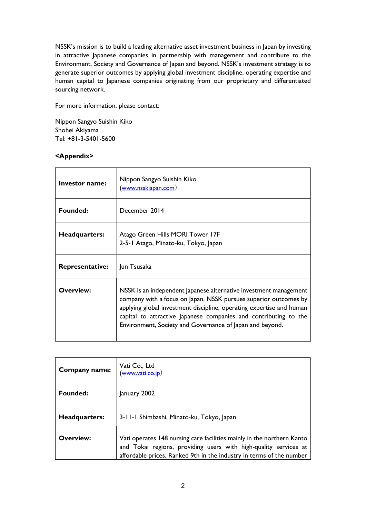NSSK's mission is to build a leading alternative asset investment business in Japan by investing in attractive Japanese companies in partnership with management and contribute to the Environment, Society and Governance of Japan and beyond. NSSK's investment strategy is to generate superior outcomes by applying global investment discipline, operating expertise and human capital to Japanese companies originating from our proprietary and differentiated sourcing network.

For more information, please contact:

Nippon Sangyo Suishin Kiko Shohei Akiyama Tel: +81-3-5401-5600

## <Appendix>

| Investor name:         | Nippon Sangyo Suishin Kiko<br>(www.nsskjapan.com)                                                                                                                                                                                                                                                                                             |
|------------------------|-----------------------------------------------------------------------------------------------------------------------------------------------------------------------------------------------------------------------------------------------------------------------------------------------------------------------------------------------|
| Founded:               | December 2014                                                                                                                                                                                                                                                                                                                                 |
| Headquarters:          | Atago Green Hills MORI Tower 17F<br>2-5-1 Atago, Minato-ku, Tokyo, Japan                                                                                                                                                                                                                                                                      |
| <b>Representative:</b> | Jun Tsusaka                                                                                                                                                                                                                                                                                                                                   |
| Overview:              | NSSK is an independent Japanese alternative investment management<br>company with a focus on Japan. NSSK pursues superior outcomes by<br>applying global investment discipline, operating expertise and human<br>capital to attractive Japanese companies and contributing to the<br>Environment, Society and Governance of Japan and beyond. |

| Company name:    | Vati Co., Ltd<br>(www.vati.co.jp)                                                                                                                                                                                  |
|------------------|--------------------------------------------------------------------------------------------------------------------------------------------------------------------------------------------------------------------|
| <b>Founded:</b>  | January 2002                                                                                                                                                                                                       |
| Headquarters:    | 3-11-1 Shimbashi, Minato-ku, Tokyo, Japan                                                                                                                                                                          |
| <b>Overview:</b> | Vati operates 148 nursing care facilities mainly in the northern Kanto<br>and Tokai regions, providing users with high-quality services at<br>affordable prices. Ranked 9th in the industry in terms of the number |